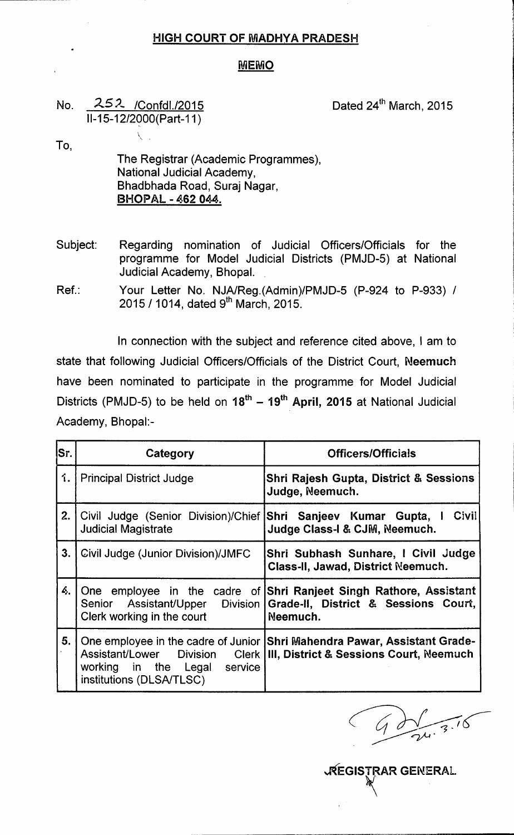## HIGH COURT OF MADHYA PRADESH

## **MEMO**

## No. 252 / Confdl./2015 11-15-12/2900(Part-11 )  $\overline{\nabla}$  ,

Dated 24<sup>th</sup> March, 2015

To,

The Registrar (Academic Programmes), National Judicial Academy, Bhadbhada Road, Suraj Nagar, BHOPAL - 462 044.

Subject: Regarding nomination of Judicial Officers/Officials for the programme for Model Judicial Districts (PMJD-5) at National Judicial Academy, Bhopal.

Ref.: Your Letter No. NJAlReg.(Admin)/PMJD-5 (P-924 to P-933) / 2015 / 1014, dated 9<sup>th</sup> March, 2015

In connection with the subject and reference cited above, I am to state that following Judicial Officers/Officials of the District Court, Neemuch have been nominated to participate in the programme for Model Judicial Districts (PMJD-5) to be held on 18<sup>th</sup> – 19<sup>th</sup> A**pril, 2015** at National Judicia Academy, Bhopal:-

| lSr. | Category                                                                                      | <b>Officers/Officials</b>                                                                                                                              |
|------|-----------------------------------------------------------------------------------------------|--------------------------------------------------------------------------------------------------------------------------------------------------------|
| 1.   | <b>Principal District Judge</b>                                                               | <b>Shri Rajesh Gupta, District &amp; Sessions</b><br>Judge, Neemuch.                                                                                   |
| 2.   | Civil Judge (Senior Division)/Chief Shri Sanjeev Kumar Gupta, I<br><b>Judicial Magistrate</b> | Civil<br>Judge Class-I & CJM, Neemuch.                                                                                                                 |
| 3.   | Civil Judge (Junior Division)/JMFC                                                            | Shri Subhash Sunhare, I Civil Judge<br>Class-II, Jawad, District Neemuch.                                                                              |
| 4.   | Clerk working in the court                                                                    | One employee in the cadre of Shri Ranjeet Singh Rathore, Assistant<br>Senior Assistant/Upper Division Grade-II, District & Sessions Court,<br>Neemuch. |
| 5.   | working in the Legal<br>service<br>institutions (DLSA/TLSC)                                   | One employee in the cadre of Junior Shri Mahendra Pawar, Assistant Grade-<br>Assistant/Lower Division Clerk   III, District & Sessions Court, Neemuch  |

~EGISTRAR GENERAL